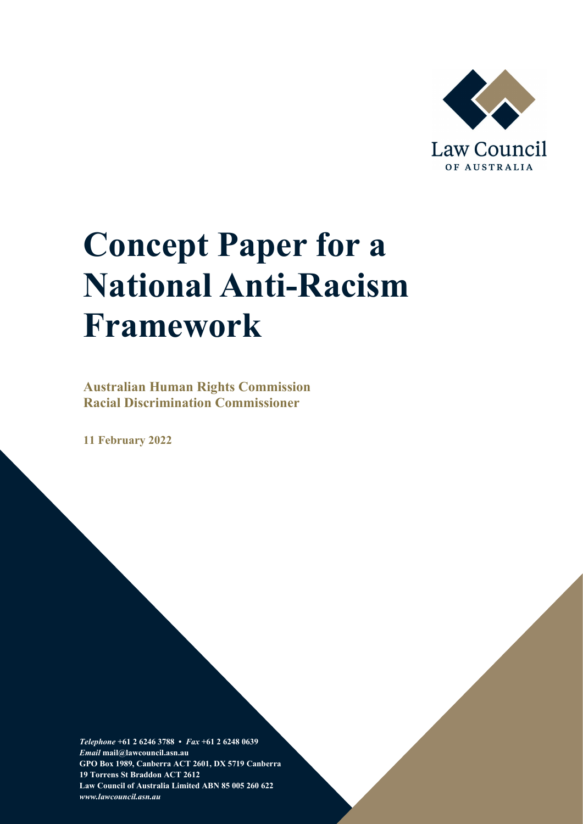

# **Concept Paper for a National Anti-Racism Framework**

**Australian Human Rights Commission Racial Discrimination Commissioner**

**11 February 2022**

*Telephone* **+61 2 6246 3788 •** *Fax* **+61 2 6248 0639**  *Email* **mail@lawcouncil.asn.au GPO Box 1989, Canberra ACT 2601, DX 5719 Canberra 19 Torrens St Braddon ACT 2612 Law Council of Australia Limited ABN 85 005 260 622** *www.lawcouncil.asn.au*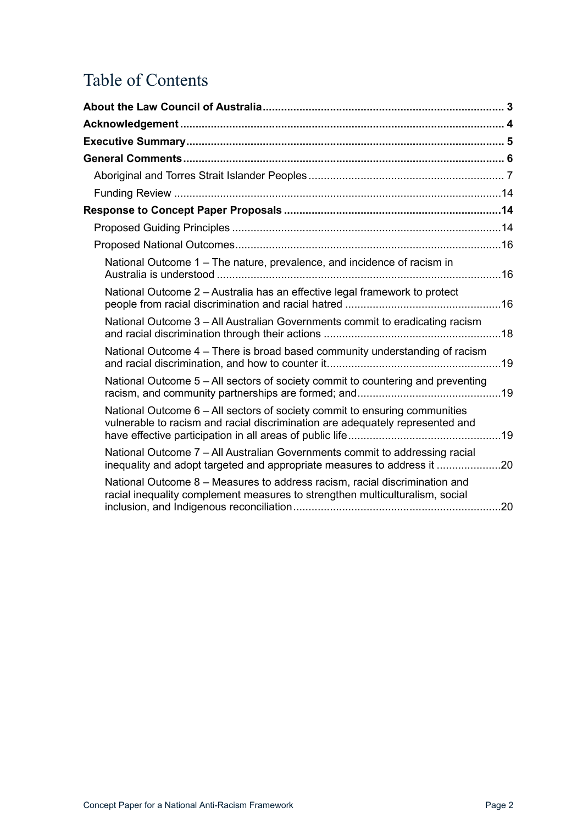## Table of Contents

| National Outcome 1 – The nature, prevalence, and incidence of racism in                                                                                     |  |
|-------------------------------------------------------------------------------------------------------------------------------------------------------------|--|
| National Outcome 2 - Australia has an effective legal framework to protect                                                                                  |  |
| National Outcome 3 - All Australian Governments commit to eradicating racism                                                                                |  |
| National Outcome 4 – There is broad based community understanding of racism                                                                                 |  |
| National Outcome 5 – All sectors of society commit to countering and preventing                                                                             |  |
| National Outcome 6 - All sectors of society commit to ensuring communities<br>vulnerable to racism and racial discrimination are adequately represented and |  |
| National Outcome 7 - All Australian Governments commit to addressing racial<br>inequality and adopt targeted and appropriate measures to address it 20      |  |
| National Outcome 8 - Measures to address racism, racial discrimination and<br>racial inequality complement measures to strengthen multiculturalism, social  |  |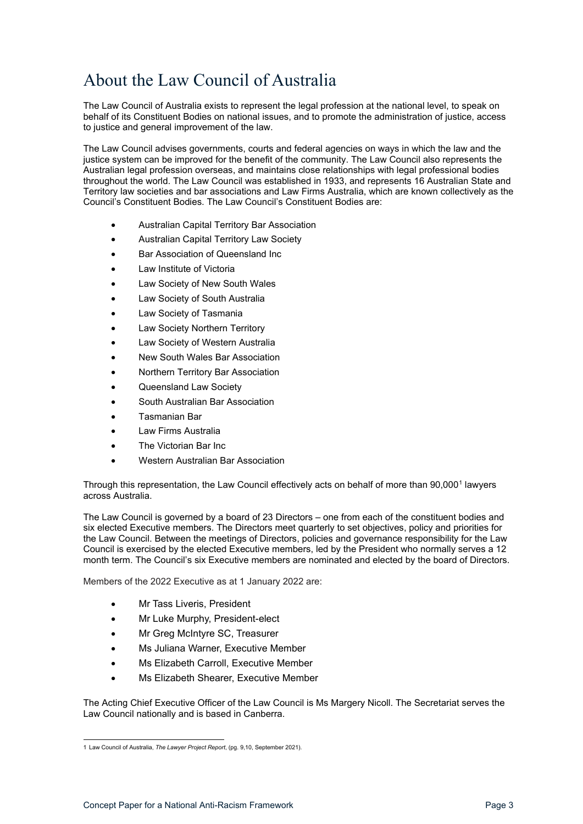## <span id="page-2-0"></span>About the Law Council of Australia

The Law Council of Australia exists to represent the legal profession at the national level, to speak on behalf of its Constituent Bodies on national issues, and to promote the administration of justice, access to justice and general improvement of the law.

The Law Council advises governments, courts and federal agencies on ways in which the law and the justice system can be improved for the benefit of the community. The Law Council also represents the Australian legal profession overseas, and maintains close relationships with legal professional bodies throughout the world. The Law Council was established in 1933, and represents 16 Australian State and Territory law societies and bar associations and Law Firms Australia, which are known collectively as the Council's Constituent Bodies. The Law Council's Constituent Bodies are:

- Australian Capital Territory Bar Association
- Australian Capital Territory Law Society
- Bar Association of Queensland Inc
- Law Institute of Victoria
- Law Society of New South Wales
- Law Society of South Australia
- Law Society of Tasmania
- Law Society Northern Territory
- Law Society of Western Australia
- New South Wales Bar Association
- Northern Territory Bar Association
- Queensland Law Society
- South Australian Bar Association
- Tasmanian Bar
- Law Firms Australia
- The Victorian Bar Inc.
- Western Australian Bar Association

Through this representation, the Law Council effectively acts on behalf of more than 90,000<sup>[1](#page-2-1)</sup> lawyers across Australia.

The Law Council is governed by a board of 23 Directors – one from each of the constituent bodies and six elected Executive members. The Directors meet quarterly to set objectives, policy and priorities for the Law Council. Between the meetings of Directors, policies and governance responsibility for the Law Council is exercised by the elected Executive members, led by the President who normally serves a 12 month term. The Council's six Executive members are nominated and elected by the board of Directors.

Members of the 2022 Executive as at 1 January 2022 are:

- Mr Tass Liveris, President
- Mr Luke Murphy, President-elect
- Mr Greg McIntyre SC, Treasurer
- Ms Juliana Warner, Executive Member
- Ms Elizabeth Carroll, Executive Member
- Ms Elizabeth Shearer, Executive Member

The Acting Chief Executive Officer of the Law Council is Ms Margery Nicoll. The Secretariat serves the Law Council nationally and is based in Canberra.

<span id="page-2-1"></span><sup>1</sup> Law Council of Australia, *The Lawyer Project Report*, (pg. 9,10, September 2021).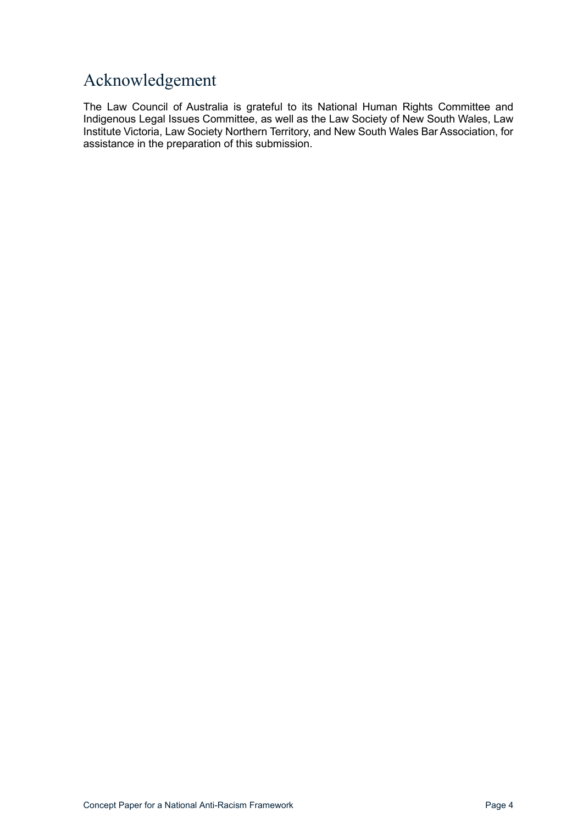## <span id="page-3-0"></span>Acknowledgement

The Law Council of Australia is grateful to its National Human Rights Committee and Indigenous Legal Issues Committee, as well as the Law Society of New South Wales, Law Institute Victoria, Law Society Northern Territory, and New South Wales Bar Association, for assistance in the preparation of this submission.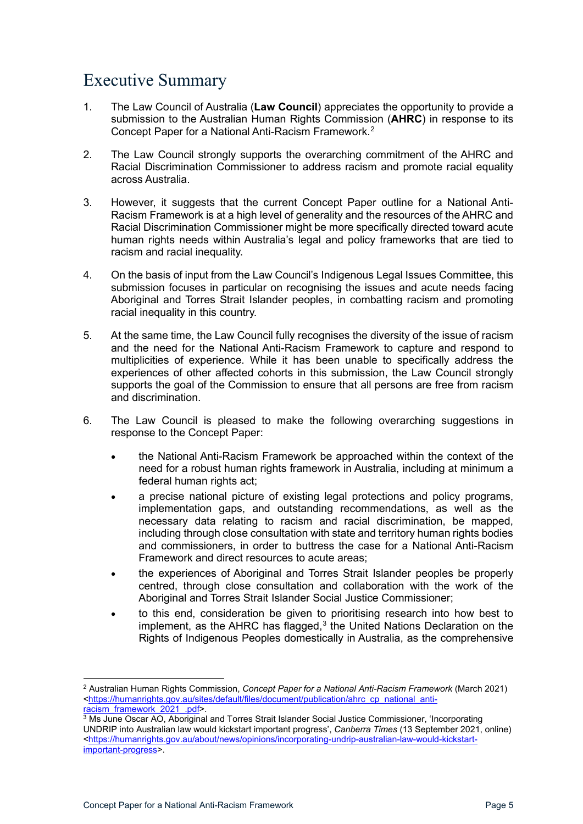## <span id="page-4-0"></span>Executive Summary

- 1. The Law Council of Australia (**Law Council**) appreciates the opportunity to provide a submission to the Australian Human Rights Commission (**AHRC**) in response to its Concept Paper for a National Anti-Racism Framework.[2](#page-4-1)
- 2. The Law Council strongly supports the overarching commitment of the AHRC and Racial Discrimination Commissioner to address racism and promote racial equality across Australia.
- 3. However, it suggests that the current Concept Paper outline for a National Anti-Racism Framework is at a high level of generality and the resources of the AHRC and Racial Discrimination Commissioner might be more specifically directed toward acute human rights needs within Australia's legal and policy frameworks that are tied to racism and racial inequality.
- 4. On the basis of input from the Law Council's Indigenous Legal Issues Committee, this submission focuses in particular on recognising the issues and acute needs facing Aboriginal and Torres Strait Islander peoples, in combatting racism and promoting racial inequality in this country.
- 5. At the same time, the Law Council fully recognises the diversity of the issue of racism and the need for the National Anti-Racism Framework to capture and respond to multiplicities of experience. While it has been unable to specifically address the experiences of other affected cohorts in this submission, the Law Council strongly supports the goal of the Commission to ensure that all persons are free from racism and discrimination.
- 6. The Law Council is pleased to make the following overarching suggestions in response to the Concept Paper:
	- the National Anti-Racism Framework be approached within the context of the need for a robust human rights framework in Australia, including at minimum a federal human rights act:
	- a precise national picture of existing legal protections and policy programs, implementation gaps, and outstanding recommendations, as well as the necessary data relating to racism and racial discrimination, be mapped, including through close consultation with state and territory human rights bodies and commissioners, in order to buttress the case for a National Anti-Racism Framework and direct resources to acute areas;
	- the experiences of Aboriginal and Torres Strait Islander peoples be properly centred, through close consultation and collaboration with the work of the Aboriginal and Torres Strait Islander Social Justice Commissioner:
	- to this end, consideration be given to prioritising research into how best to implement, as the AHRC has flagged, $3$  the United Nations Declaration on the Rights of Indigenous Peoples domestically in Australia, as the comprehensive

<span id="page-4-1"></span><sup>2</sup> Australian Human Rights Commission, *Concept Paper for a National Anti-Racism Framework* (March 2021) [<https://humanrights.gov.au/sites/default/files/document/publication/ahrc\\_cp\\_national\\_anti-](https://humanrights.gov.au/sites/default/files/document/publication/ahrc_cp_national_anti-racism_framework_2021_.pdf)<u>racism\_framework\_2021\_.pdf</u>>.

<span id="page-4-2"></span> $^3$  Ms June Oscar AO, Aboriginal and Torres Strait Islander Social Justice Commissioner, 'Incorporating UNDRIP into Australian law would kickstart important progress', *Canberra Times* (13 September 2021, online) [<https://humanrights.gov.au/about/news/opinions/incorporating-undrip-australian-law-would-kickstart](https://humanrights.gov.au/about/news/opinions/incorporating-undrip-australian-law-would-kickstart-important-progress)[important-progress>](https://humanrights.gov.au/about/news/opinions/incorporating-undrip-australian-law-would-kickstart-important-progress).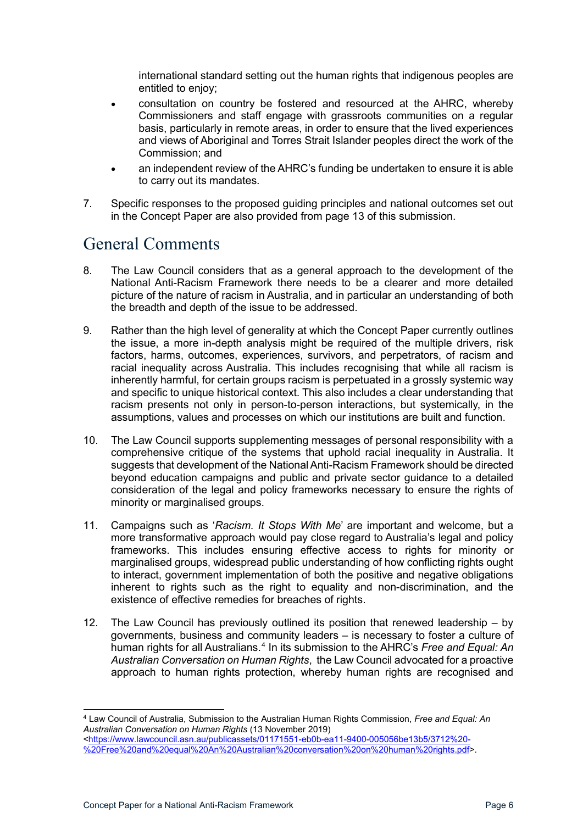international standard setting out the human rights that indigenous peoples are entitled to enjoy;

- consultation on country be fostered and resourced at the AHRC, whereby Commissioners and staff engage with grassroots communities on a regular basis, particularly in remote areas, in order to ensure that the lived experiences and views of Aboriginal and Torres Strait Islander peoples direct the work of the Commission; and
- an independent review of the AHRC's funding be undertaken to ensure it is able to carry out its mandates.
- 7. Specific responses to the proposed guiding principles and national outcomes set out in the Concept Paper are also provided from page 13 of this submission.

## <span id="page-5-0"></span>General Comments

- 8. The Law Council considers that as a general approach to the development of the National Anti-Racism Framework there needs to be a clearer and more detailed picture of the nature of racism in Australia, and in particular an understanding of both the breadth and depth of the issue to be addressed.
- 9. Rather than the high level of generality at which the Concept Paper currently outlines the issue, a more in-depth analysis might be required of the multiple drivers, risk factors, harms, outcomes, experiences, survivors, and perpetrators, of racism and racial inequality across Australia. This includes recognising that while all racism is inherently harmful, for certain groups racism is perpetuated in a grossly systemic way and specific to unique historical context. This also includes a clear understanding that racism presents not only in person-to-person interactions, but systemically, in the assumptions, values and processes on which our institutions are built and function.
- 10. The Law Council supports supplementing messages of personal responsibility with a comprehensive critique of the systems that uphold racial inequality in Australia. It suggests that development of the National Anti-Racism Framework should be directed beyond education campaigns and public and private sector guidance to a detailed consideration of the legal and policy frameworks necessary to ensure the rights of minority or marginalised groups.
- 11. Campaigns such as '*Racism. It Stops With Me*' are important and welcome, but a more transformative approach would pay close regard to Australia's legal and policy frameworks. This includes ensuring effective access to rights for minority or marginalised groups, widespread public understanding of how conflicting rights ought to interact, government implementation of both the positive and negative obligations inherent to rights such as the right to equality and non-discrimination, and the existence of effective remedies for breaches of rights.
- 12. The Law Council has previously outlined its position that renewed leadership by governments, business and community leaders – is necessary to foster a culture of human rights for all Australians.<sup>[4](#page-5-1)</sup> In its submission to the AHRC's *Free and Equal: An Australian Conversation on Human Rights*, the Law Council advocated for a proactive approach to human rights protection, whereby human rights are recognised and

<span id="page-5-1"></span><sup>4</sup> Law Council of Australia, Submission to the Australian Human Rights Commission, *Free and Equal: An Australian Conversation on Human Rights* (13 November 2019) [<https://www.lawcouncil.asn.au/publicassets/01171551-eb0b-ea11-9400-005056be13b5/3712%20-](https://www.lawcouncil.asn.au/publicassets/01171551-eb0b-ea11-9400-005056be13b5/3712%20-%20Free%20and%20equal%20An%20Australian%20conversation%20on%20human%20rights.pdf) [%20Free%20and%20equal%20An%20Australian%20conversation%20on%20human%20rights.pdf>](https://www.lawcouncil.asn.au/publicassets/01171551-eb0b-ea11-9400-005056be13b5/3712%20-%20Free%20and%20equal%20An%20Australian%20conversation%20on%20human%20rights.pdf).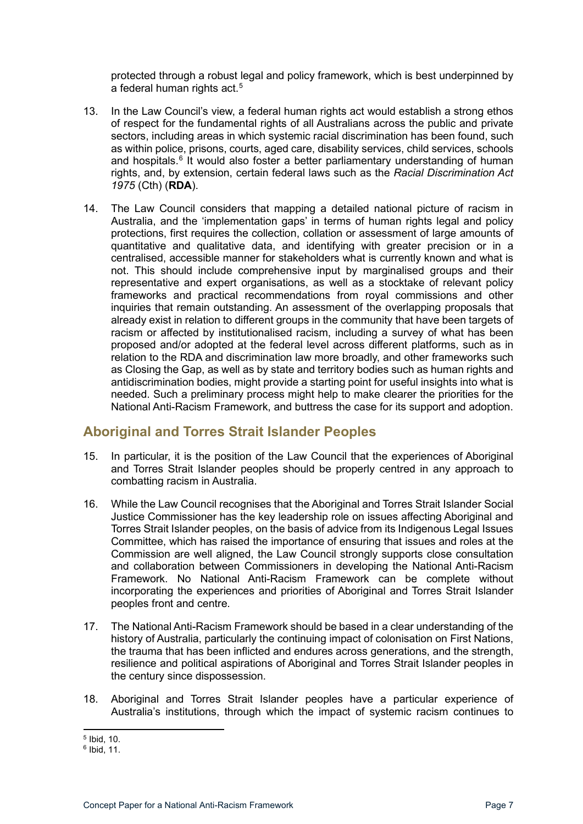protected through a robust legal and policy framework, which is best underpinned by a federal human rights act.<sup>[5](#page-6-1)</sup>

- 13. In the Law Council's view, a federal human rights act would establish a strong ethos of respect for the fundamental rights of all Australians across the public and private sectors, including areas in which systemic racial discrimination has been found, such as within police, prisons, courts, aged care, disability services, child services, schools and hospitals.<sup>[6](#page-6-2)</sup> It would also foster a better parliamentary understanding of human rights, and, by extension, certain federal laws such as the *Racial Discrimination Act 1975* (Cth) (**RDA**).
- 14. The Law Council considers that mapping a detailed national picture of racism in Australia, and the 'implementation gaps' in terms of human rights legal and policy protections, first requires the collection, collation or assessment of large amounts of quantitative and qualitative data, and identifying with greater precision or in a centralised, accessible manner for stakeholders what is currently known and what is not. This should include comprehensive input by marginalised groups and their representative and expert organisations, as well as a stocktake of relevant policy frameworks and practical recommendations from royal commissions and other inquiries that remain outstanding. An assessment of the overlapping proposals that already exist in relation to different groups in the community that have been targets of racism or affected by institutionalised racism, including a survey of what has been proposed and/or adopted at the federal level across different platforms, such as in relation to the RDA and discrimination law more broadly, and other frameworks such as Closing the Gap, as well as by state and territory bodies such as human rights and antidiscrimination bodies, might provide a starting point for useful insights into what is needed. Such a preliminary process might help to make clearer the priorities for the National Anti-Racism Framework, and buttress the case for its support and adoption.

#### <span id="page-6-0"></span>**Aboriginal and Torres Strait Islander Peoples**

- 15. In particular, it is the position of the Law Council that the experiences of Aboriginal and Torres Strait Islander peoples should be properly centred in any approach to combatting racism in Australia.
- 16. While the Law Council recognises that the Aboriginal and Torres Strait Islander Social Justice Commissioner has the key leadership role on issues affecting Aboriginal and Torres Strait Islander peoples, on the basis of advice from its Indigenous Legal Issues Committee, which has raised the importance of ensuring that issues and roles at the Commission are well aligned, the Law Council strongly supports close consultation and collaboration between Commissioners in developing the National Anti-Racism Framework. No National Anti-Racism Framework can be complete without incorporating the experiences and priorities of Aboriginal and Torres Strait Islander peoples front and centre.
- 17. The National Anti-Racism Framework should be based in a clear understanding of the history of Australia, particularly the continuing impact of colonisation on First Nations, the trauma that has been inflicted and endures across generations, and the strength, resilience and political aspirations of Aboriginal and Torres Strait Islander peoples in the century since dispossession.
- 18. Aboriginal and Torres Strait Islander peoples have a particular experience of Australia's institutions, through which the impact of systemic racism continues to

<span id="page-6-1"></span><sup>5</sup> Ibid, 10.

<span id="page-6-2"></span><sup>6</sup> Ibid, 11.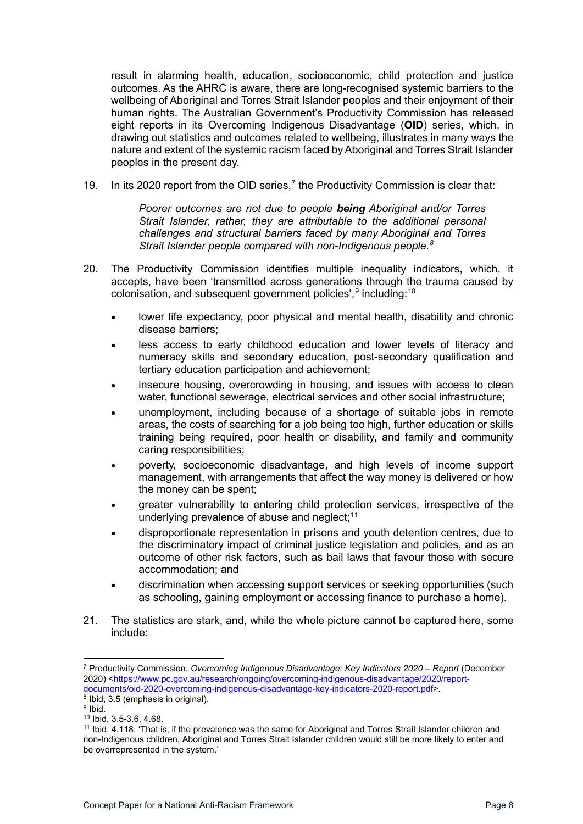result in alarming health, education, socioeconomic, child protection and justice outcomes. As the AHRC is aware, there are long-recognised systemic barriers to the wellbeing of Aboriginal and Torres Strait Islander peoples and their enjoyment of their human rights. The Australian Government's Productivity Commission has released eight reports in its Overcoming Indigenous Disadvantage (**OID**) series, which, in drawing out statistics and outcomes related to wellbeing, illustrates in many ways the nature and extent of the systemic racism faced by Aboriginal and Torres Strait Islander peoples in the present day.

19. In its 2020 report from the OID series,<sup>[7](#page-7-0)</sup> the Productivity Commission is clear that:

*Poorer outcomes are not due to people being Aboriginal and/or Torres Strait Islander, rather, they are attributable to the additional personal challenges and structural barriers faced by many Aboriginal and Torres Strait Islander people compared with non-Indigenous people.[8](#page-7-1)*

- 20. The Productivity Commission identifies multiple inequality indicators, which, it accepts, have been 'transmitted across generations through the trauma caused by colonisation, and subsequent government policies', $^9$  $^9$  including: $^{10}$  $^{10}$  $^{10}$ 
	- lower life expectancy, poor physical and mental health, disability and chronic disease barriers;
	- less access to early childhood education and lower levels of literacy and numeracy skills and secondary education, post-secondary qualification and tertiary education participation and achievement;
	- insecure housing, overcrowding in housing, and issues with access to clean water, functional sewerage, electrical services and other social infrastructure;
	- unemployment, including because of a shortage of suitable jobs in remote areas, the costs of searching for a job being too high, further education or skills training being required, poor health or disability, and family and community caring responsibilities;
	- poverty, socioeconomic disadvantage, and high levels of income support management, with arrangements that affect the way money is delivered or how the money can be spent;
	- greater vulnerability to entering child protection services, irrespective of the underlying prevalence of abuse and neglect;<sup>[11](#page-7-4)</sup>
	- disproportionate representation in prisons and youth detention centres, due to the discriminatory impact of criminal justice legislation and policies, and as an outcome of other risk factors, such as bail laws that favour those with secure accommodation; and
	- discrimination when accessing support services or seeking opportunities (such as schooling, gaining employment or accessing finance to purchase a home).
- 21. The statistics are stark, and, while the whole picture cannot be captured here, some include:

<span id="page-7-0"></span><sup>7</sup> Productivity Commission, *Overcoming Indigenous Disadvantage: Key Indicators 2020 – Report* (December 2020) [<https://www.pc.gov.au/research/ongoing/overcoming-indigenous-disadvantage/2020/report](https://www.pc.gov.au/research/ongoing/overcoming-indigenous-disadvantage/2020/report-documents/oid-2020-overcoming-indigenous-disadvantage-key-indicators-2020-report.pdf)[documents/oid-2020-overcoming-indigenous-disadvantage-key-indicators-2020-report.pdf>](https://www.pc.gov.au/research/ongoing/overcoming-indigenous-disadvantage/2020/report-documents/oid-2020-overcoming-indigenous-disadvantage-key-indicators-2020-report.pdf).

<span id="page-7-1"></span> $8$  Ibid, 3.5 (emphasis in original).

<span id="page-7-2"></span> $9$  Ibid.

<sup>10</sup> Ibid, 3.5-3.6, 4.68.

<span id="page-7-4"></span><span id="page-7-3"></span><sup>&</sup>lt;sup>11</sup> Ibid, 4.118: 'That is, if the prevalence was the same for Aboriginal and Torres Strait Islander children and non-Indigenous children, Aboriginal and Torres Strait Islander children would still be more likely to enter and be overrepresented in the system.'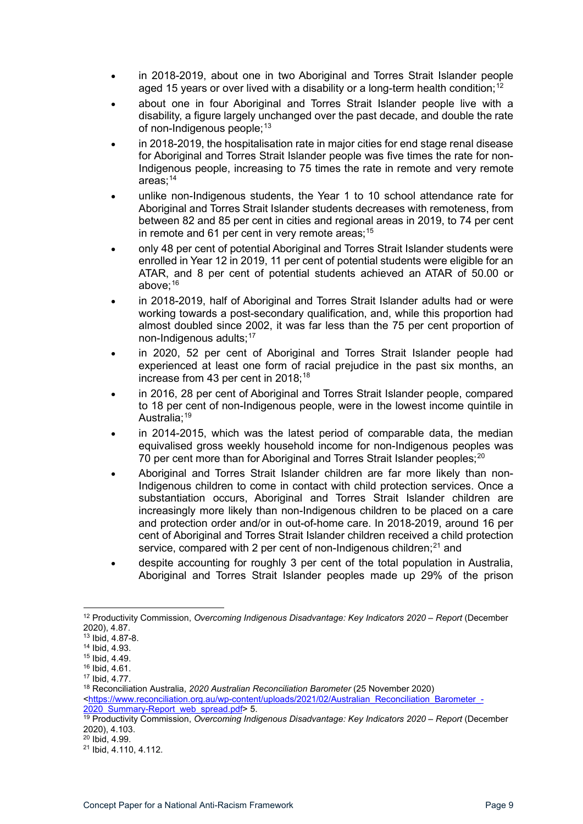- in 2018-2019, about one in two Aboriginal and Torres Strait Islander people aged 15 years or over lived with a disability or a long-term health condition;<sup>[12](#page-8-0)</sup>
- about one in four Aboriginal and Torres Strait Islander people live with a disability, a figure largely unchanged over the past decade, and double the rate of non-Indigenous people;  $13$
- in 2018-2019, the hospitalisation rate in major cities for end stage renal disease for Aboriginal and Torres Strait Islander people was five times the rate for non-Indigenous people, increasing to 75 times the rate in remote and very remote areas: $14$
- unlike non-Indigenous students, the Year 1 to 10 school attendance rate for Aboriginal and Torres Strait Islander students decreases with remoteness, from between 82 and 85 per cent in cities and regional areas in 2019, to 74 per cent in remote and 61 per cent in very remote areas;  $15$
- only 48 per cent of potential Aboriginal and Torres Strait Islander students were enrolled in Year 12 in 2019, 11 per cent of potential students were eligible for an ATAR, and 8 per cent of potential students achieved an ATAR of 50.00 or above:<sup>[16](#page-8-4)</sup>
- in 2018-2019, half of Aboriginal and Torres Strait Islander adults had or were working towards a post-secondary qualification, and, while this proportion had almost doubled since 2002, it was far less than the 75 per cent proportion of non-Indigenous adults:<sup>[17](#page-8-5)</sup>
- in 2020, 52 per cent of Aboriginal and Torres Strait Islander people had experienced at least one form of racial prejudice in the past six months, an increase from 43 per cent in  $2018$  $2018$ ;<sup>18</sup>
- in 2016, 28 per cent of Aboriginal and Torres Strait Islander people, compared to 18 per cent of non-Indigenous people, were in the lowest income quintile in Australia;<sup>[19](#page-8-7)</sup>
- in 2014-2015, which was the latest period of comparable data, the median equivalised gross weekly household income for non-Indigenous peoples was 70 per cent more than for Aboriginal and Torres Strait Islander peoples;<sup>[20](#page-8-8)</sup>
- Aboriginal and Torres Strait Islander children are far more likely than non-Indigenous children to come in contact with child protection services. Once a substantiation occurs. Aboriginal and Torres Strait Islander children are increasingly more likely than non-Indigenous children to be placed on a care and protection order and/or in out-of-home care. In 2018-2019, around 16 per cent of Aboriginal and Torres Strait Islander children received a child protection service, compared with 2 per cent of non-Indigenous children; $^{21}$  $^{21}$  $^{21}$  and
- despite accounting for roughly 3 per cent of the total population in Australia. Aboriginal and Torres Strait Islander peoples made up 29% of the prison

<span id="page-8-0"></span><sup>12</sup> Productivity Commission, *Overcoming Indigenous Disadvantage: Key Indicators 2020 – Report* (December 2020), 4.87.

<span id="page-8-1"></span><sup>13</sup> Ibid, 4.87-8.

<span id="page-8-2"></span><sup>14</sup> Ibid, 4.93.

<sup>15</sup> Ibid, 4.49.

<span id="page-8-4"></span><span id="page-8-3"></span><sup>16</sup> Ibid, 4.61.

<sup>17</sup> Ibid, 4.77.

<span id="page-8-5"></span><sup>18</sup> Reconciliation Australia, *2020 Australian Reconciliation Barometer* (25 November 2020)

<span id="page-8-6"></span>[<sup>&</sup>lt;https://www.reconciliation.org.au/wp-content/uploads/2021/02/Australian\\_Reconciliation\\_Barometer\\_-](https://www.reconciliation.org.au/wp-content/uploads/2021/02/Australian_Reconciliation_Barometer_-2020_Summary-Report_web_spread.pdf) [2020\\_Summary-Report\\_web\\_spread.pdf>](https://www.reconciliation.org.au/wp-content/uploads/2021/02/Australian_Reconciliation_Barometer_-2020_Summary-Report_web_spread.pdf) 5.

<span id="page-8-7"></span><sup>19</sup> Productivity Commission, *Overcoming Indigenous Disadvantage: Key Indicators 2020 – Report* (December 2020), 4.103.

<span id="page-8-8"></span><sup>20</sup> Ibid, 4.99.

<span id="page-8-9"></span><sup>21</sup> Ibid, 4.110, 4.112.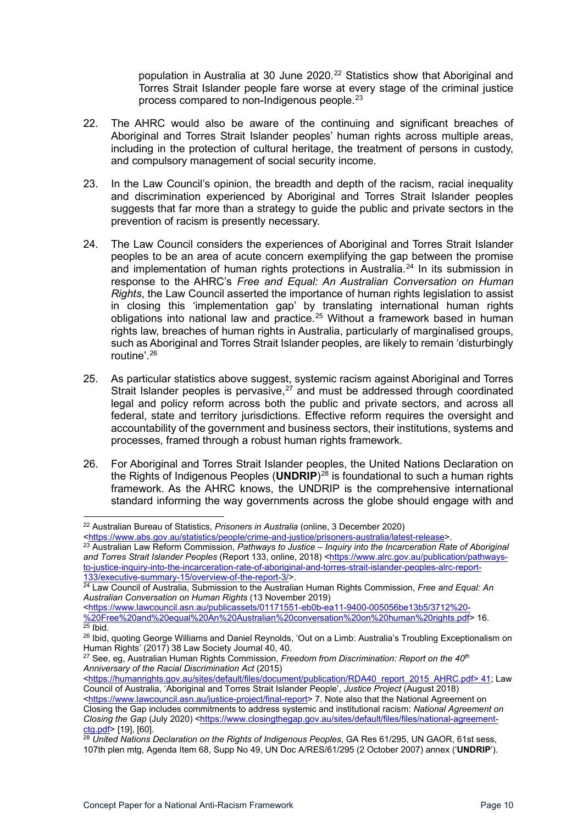population in Australia at 30 June 2020.<sup>[22](#page-9-0)</sup> Statistics show that Aboriginal and Torres Strait Islander people fare worse at every stage of the criminal justice process compared to non-Indigenous people.[23](#page-9-1)

- 22. The AHRC would also be aware of the continuing and significant breaches of Aboriginal and Torres Strait Islander peoples' human rights across multiple areas, including in the protection of cultural heritage, the treatment of persons in custody, and compulsory management of social security income.
- 23. In the Law Council's opinion, the breadth and depth of the racism, racial inequality and discrimination experienced by Aboriginal and Torres Strait Islander peoples suggests that far more than a strategy to guide the public and private sectors in the prevention of racism is presently necessary.
- 24. The Law Council considers the experiences of Aboriginal and Torres Strait Islander peoples to be an area of acute concern exemplifying the gap between the promise and implementation of human rights protections in Australia.<sup>[24](#page-9-2)</sup> In its submission in response to the AHRC's *Free and Equal: An Australian Conversation on Human Rights*, the Law Council asserted the importance of human rights legislation to assist in closing this 'implementation gap' by translating international human rights obligations into national law and practice.<sup>[25](#page-9-3)</sup> Without a framework based in human rights law, breaches of human rights in Australia, particularly of marginalised groups, such as Aboriginal and Torres Strait Islander peoples, are likely to remain 'disturbingly routine'.[26](#page-9-4)
- 25. As particular statistics above suggest, systemic racism against Aboriginal and Torres Strait Islander peoples is pervasive,<sup>[27](#page-9-5)</sup> and must be addressed through coordinated legal and policy reform across both the public and private sectors, and across all federal, state and territory jurisdictions. Effective reform requires the oversight and accountability of the government and business sectors, their institutions, systems and processes, framed through a robust human rights framework.
- 26. For Aboriginal and Torres Strait Islander peoples, the United Nations Declaration on the Rights of Indigenous Peoples (**UNDRIP**)[28](#page-9-6) is foundational to such a human rights framework. As the AHRC knows, the UNDRIP is the comprehensive international standard informing the way governments across the globe should engage with and

<span id="page-9-0"></span><sup>22</sup> Australian Bureau of Statistics, *Prisoners in Australia* (online, 3 December 2020)

[<sup>&</sup>lt;https://www.abs.gov.au/statistics/people/crime-and-justice/prisoners-australia/latest-release>](https://www.abs.gov.au/statistics/people/crime-and-justice/prisoners-australia/latest-release).

<span id="page-9-1"></span><sup>23</sup> Australian Law Reform Commission, *Pathways to Justice – Inquiry into the Incarceration Rate of Aboriginal and Torres Strait Islander Peoples* (Report 133, online, 2018) [<https://www.alrc.gov.au/publication/pathways](https://www.alrc.gov.au/publication/pathways-to-justice-inquiry-into-the-incarceration-rate-of-aboriginal-and-torres-strait-islander-peoples-alrc-report-133/executive-summary-15/overview-of-the-report-3/)to-justice-inquiry-into-the-incarceration-rate-of-aboriginal-and-torres-strait-islander-peoples-alrc-report-<br>133/executive-summary-15/overview-of-the-report-3/>

<span id="page-9-2"></span><sup>&</sup>lt;sup>24</sup> Law Council of Australia, Submission to the Australian Human Rights Commission, *Free and Equal: An Australian Conversation on Human Rights* (13 November 2019)

[<sup>&</sup>lt;https://www.lawcouncil.asn.au/publicassets/01171551-eb0b-ea11-9400-005056be13b5/3712%20-](https://www.lawcouncil.asn.au/publicassets/01171551-eb0b-ea11-9400-005056be13b5/3712%20-%20Free%20and%20equal%20An%20Australian%20conversation%20on%20human%20rights.pdf) [%20Free%20and%20equal%20An%20Australian%20conversation%20on%20human%20rights.pdf>](https://www.lawcouncil.asn.au/publicassets/01171551-eb0b-ea11-9400-005056be13b5/3712%20-%20Free%20and%20equal%20An%20Australian%20conversation%20on%20human%20rights.pdf) 16.  $25$  Ibid.

<span id="page-9-4"></span><span id="page-9-3"></span><sup>&</sup>lt;sup>26</sup> Ibid, quoting George Williams and Daniel Reynolds, 'Out on a Limb: Australia's Troubling Exceptionalism on Human Rights' (2017) 38 Law Society Journal 40, 40.

<span id="page-9-5"></span><sup>27</sup> See, eg, Australian Human Rights Commission, *Freedom from Discrimination: Report on the 40th Anniversary of the Racial Discrimination Act* (2015)

[<sup>&</sup>lt;https://humanrights.gov.au/sites/default/files/document/publication/RDA40\\_report\\_2015\\_AHRC.pdf> 41;](https://humanrights.gov.au/sites/default/files/document/publication/RDA40_report_2015_AHRC.pdf%3e%2041) Law Council of Australia, 'Aboriginal and Torres Strait Islander People', *Justice Project* (August 2018)

[<sup>&</sup>lt;https://www.lawcouncil.asn.au/justice-project/final-report>](https://www.lawcouncil.asn.au/justice-project/final-report) 7. Note also that the National Agreement on Closing the Gap includes commitments to address systemic and institutional racism: *National Agreement on Closing the Gap* (July 2020) [<https://www.closingthegap.gov.au/sites/default/files/files/national-agreement](https://www.closingthegap.gov.au/sites/default/files/files/national-agreement-ctg.pdf)[ctg.pdf>](https://www.closingthegap.gov.au/sites/default/files/files/national-agreement-ctg.pdf) [19], [60].

<span id="page-9-6"></span><sup>&</sup>lt;sup>28</sup> United Nations Declaration on the Rights of Indigenous Peoples, GA Res 61/295, UN GAOR, 61st sess, 107th plen mtg, Agenda Item 68, Supp No 49, UN Doc A/RES/61/295 (2 October 2007) annex ('**UNDRIP**').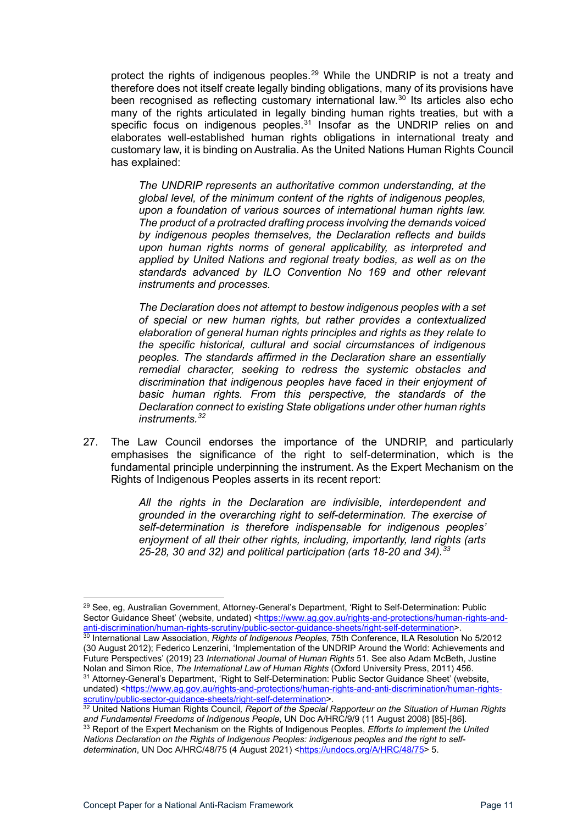protect the rights of indigenous peoples.<sup>[29](#page-10-0)</sup> While the UNDRIP is not a treaty and therefore does not itself create legally binding obligations, many of its provisions have been recognised as reflecting customary international law.<sup>[30](#page-10-1)</sup> Its articles also echo many of the rights articulated in legally binding human rights treaties, but with a specific focus on indigenous peoples. $31$  Insofar as the UNDRIP relies on and elaborates well-established human rights obligations in international treaty and customary law, it is binding on Australia. As the United Nations Human Rights Council has explained:

*The UNDRIP represents an authoritative common understanding, at the global level, of the minimum content of the rights of indigenous peoples, upon a foundation of various sources of international human rights law. The product of a protracted drafting process involving the demands voiced by indigenous peoples themselves, the Declaration reflects and builds upon human rights norms of general applicability, as interpreted and applied by United Nations and regional treaty bodies, as well as on the standards advanced by ILO Convention No 169 and other relevant instruments and processes.*

*The Declaration does not attempt to bestow indigenous peoples with a set of special or new human rights, but rather provides a contextualized elaboration of general human rights principles and rights as they relate to the specific historical, cultural and social circumstances of indigenous peoples. The standards affirmed in the Declaration share an essentially remedial character, seeking to redress the systemic obstacles and discrimination that indigenous peoples have faced in their enjoyment of basic human rights. From this perspective, the standards of the Declaration connect to existing State obligations under other human rights instruments.[32](#page-10-3)*

27. The Law Council endorses the importance of the UNDRIP, and particularly emphasises the significance of the right to self-determination, which is the fundamental principle underpinning the instrument. As the Expert Mechanism on the Rights of Indigenous Peoples asserts in its recent report:

> *All the rights in the Declaration are indivisible, interdependent and grounded in the overarching right to self-determination. The exercise of self-determination is therefore indispensable for indigenous peoples' enjoyment of all their other rights, including, importantly, land rights (arts 25-28, 30 and 32) and political participation (arts 18-20 and 34).[33](#page-10-4)*

<span id="page-10-0"></span><sup>&</sup>lt;sup>29</sup> See, eg, Australian Government, Attorney-General's Department, 'Right to Self-Determination: Public Sector Guidance Sheet' (website, undated) <https://www.ag.gov.au/rights-and-protections/human-rights-and-<br>anti-discrimination/human-rights-scrutiny/public-sector-guidance-sheets/right-self-determination>. <sup>30</sup> International Law Association, Rights of Indigenous Peoples, 75th Conference, ILA Resolution No 5/2012

<span id="page-10-1"></span><sup>(30</sup> August 2012); Federico Lenzerini, 'Implementation of the UNDRIP Around the World: Achievements and Future Perspectives' (2019) 23 *International Journal of Human Rights* 51. See also Adam McBeth, Justine Nolan and Simon Rice, *The International Law of Human Rights* (Oxford University Press, 2011) 456. <sup>31</sup> Attorney-General's Department, 'Right to Self-Determination: Public Sector Guidance Sheet' (website,

<span id="page-10-2"></span>undated) [<https://www.ag.gov.au/rights-and-protections/human-rights-and-anti-discrimination/human-rights](https://www.ag.gov.au/rights-and-protections/human-rights-and-anti-discrimination/human-rights-scrutiny/public-sector-guidance-sheets/right-self-determination)[scrutiny/public-sector-guidance-sheets/right-self-determination>](https://www.ag.gov.au/rights-and-protections/human-rights-and-anti-discrimination/human-rights-scrutiny/public-sector-guidance-sheets/right-self-determination).

<span id="page-10-4"></span><span id="page-10-3"></span><sup>&</sup>lt;sup>32</sup> United Nations Human Rights Council, Report of the Special Rapporteur on the Situation of Human Rights *and Fundamental Freedoms of Indigenous People*, UN Doc A/HRC/9/9 (11 August 2008) [85]-[86]. <sup>33</sup> Report of the Expert Mechanism on the Rights of Indigenous Peoples, *Efforts to implement the United Nations Declaration on the Rights of Indigenous Peoples: indigenous peoples and the right to selfdetermination*, UN Doc A/HRC/48/75 (4 August 2021) [<https://undocs.org/A/HRC/48/75>](https://undocs.org/A/HRC/48/75) 5.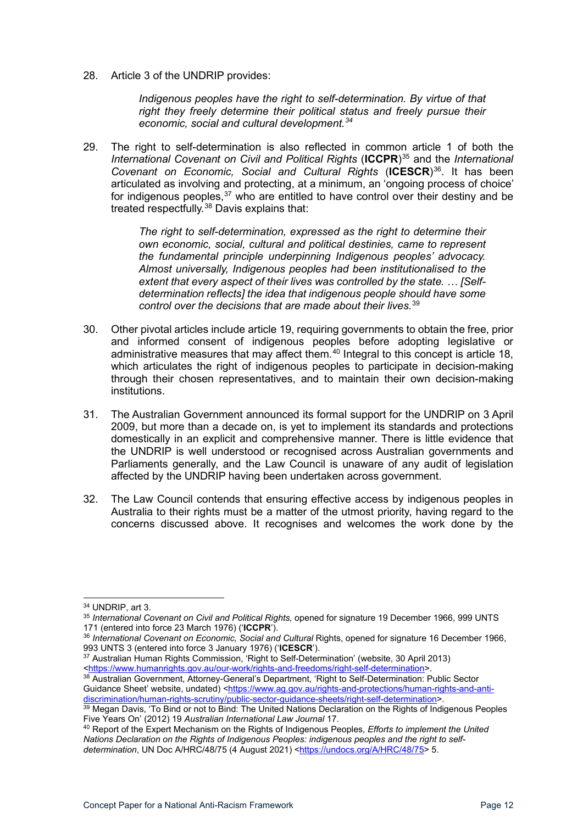28. Article 3 of the UNDRIP provides:

*Indigenous peoples have the right to self-determination. By virtue of that right they freely determine their political status and freely pursue their economic, social and cultural development.[34](#page-11-0)*

29. The right to self-determination is also reflected in common article 1 of both the *International Covenant on Civil and Political Rights* (**ICCPR**)[35](#page-11-1) and the *International Covenant on Economic, Social and Cultural Rights* (**ICESCR**)[36.](#page-11-2) It has been articulated as involving and protecting, at a minimum, an 'ongoing process of choice' for indigenous peoples,  $37$  who are entitled to have control over their destiny and be treated respectfully.[38](#page-11-4) Davis explains that:

> *The right to self-determination, expressed as the right to determine their own economic, social, cultural and political destinies, came to represent the fundamental principle underpinning Indigenous peoples' advocacy. Almost universally, Indigenous peoples had been institutionalised to the extent that every aspect of their lives was controlled by the state. … [Selfdetermination reflects] the idea that indigenous people should have some control over the decisions that are made about their lives.*[39](#page-11-5)

- 30. Other pivotal articles include article 19, requiring governments to obtain the free, prior and informed consent of indigenous peoples before adopting legislative or administrative measures that may affect them. $40$  Integral to this concept is article 18, which articulates the right of indigenous peoples to participate in decision-making through their chosen representatives, and to maintain their own decision-making institutions.
- 31. The Australian Government announced its formal support for the UNDRIP on 3 April 2009, but more than a decade on, is yet to implement its standards and protections domestically in an explicit and comprehensive manner. There is little evidence that the UNDRIP is well understood or recognised across Australian governments and Parliaments generally, and the Law Council is unaware of any audit of legislation affected by the UNDRIP having been undertaken across government.
- 32. The Law Council contends that ensuring effective access by indigenous peoples in Australia to their rights must be a matter of the utmost priority, having regard to the concerns discussed above. It recognises and welcomes the work done by the

<span id="page-11-3"></span><sup>37</sup> Australian Human Rights Commission, 'Right to Self-Determination' (website, 30 April 2013) [<https://www.humanrights.gov.au/our-work/rights-and-freedoms/right-self-determination>](https://www.humanrights.gov.au/our-work/rights-and-freedoms/right-self-determination).

<span id="page-11-0"></span><sup>34</sup> UNDRIP, art 3.

<span id="page-11-1"></span><sup>35</sup> *International Covenant on Civil and Political Rights,* opened for signature 19 December 1966, 999 UNTS 171 (entered into force 23 March 1976) ('**ICCPR**').

<span id="page-11-2"></span><sup>&</sup>lt;sup>36</sup> International Covenant on Economic, Social and Cultural Rights, opened for signature 16 December 1966, 993 UNTS 3 (entered into force 3 January 1976) ('**ICESCR**').

<span id="page-11-4"></span><sup>38</sup> Australian Government, Attorney-General's Department, 'Right to Self-Determination: Public Sector Guidance Sheet' website, undated) [<https://www.ag.gov.au/rights-and-protections/human-rights-and-anti](https://www.ag.gov.au/rights-and-protections/human-rights-and-anti-discrimination/human-rights-scrutiny/public-sector-guidance-sheets/right-self-determination)[discrimination/human-rights-scrutiny/public-sector-guidance-sheets/right-self-determination>](https://www.ag.gov.au/rights-and-protections/human-rights-and-anti-discrimination/human-rights-scrutiny/public-sector-guidance-sheets/right-self-determination).

<span id="page-11-5"></span> $^\mathrm{39}$  Megan Davis, 'To Bind or not to Bind: The United Nations Declaration on the Rights of Indigenous Peoples Five Years On' (2012) 19 *Australian International Law Journal* 17.

<span id="page-11-6"></span><sup>40</sup> Report of the Expert Mechanism on the Rights of Indigenous Peoples, *Efforts to implement the United Nations Declaration on the Rights of Indigenous Peoples: indigenous peoples and the right to selfdetermination*, UN Doc A/HRC/48/75 (4 August 2021) [<https://undocs.org/A/HRC/48/75>](https://undocs.org/A/HRC/48/75) 5.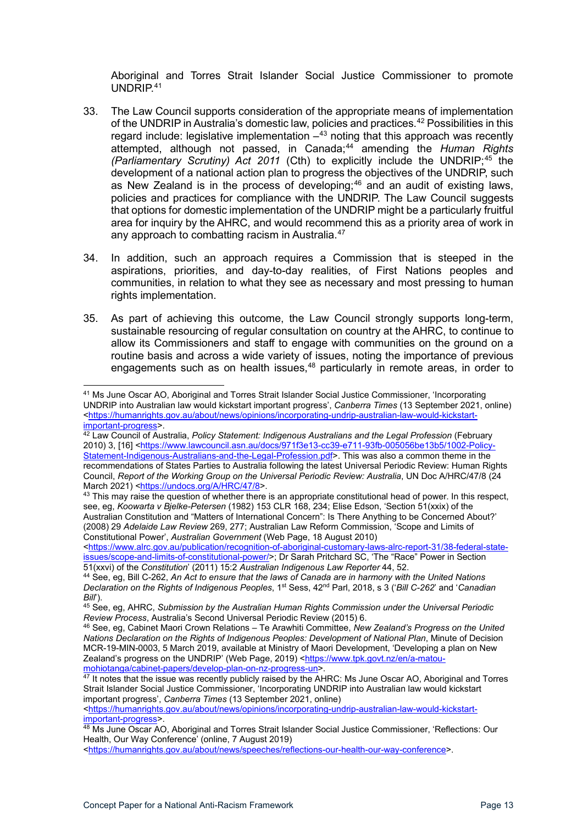Aboriginal and Torres Strait Islander Social Justice Commissioner to promote UNDRIP.[41](#page-12-0)

- 33. The Law Council supports consideration of the appropriate means of implementation of the UNDRIP in Australia's domestic law, policies and practices.<sup>[42](#page-12-1)</sup> Possibilities in this regard include: legislative implementation  $-43$  $-43$  noting that this approach was recently attempted, although not passed, in Canada; [44](#page-12-3) amending the *Human Rights (Parliamentary Scrutiny) Act 2011* (Cth) to explicitly include the UNDRIP;<sup>[45](#page-12-4)</sup> the development of a national action plan to progress the objectives of the UNDRIP, such as New Zealand is in the process of developing; [46](#page-12-5) and an audit of existing laws, policies and practices for compliance with the UNDRIP. The Law Council suggests that options for domestic implementation of the UNDRIP might be a particularly fruitful area for inquiry by the AHRC, and would recommend this as a priority area of work in any approach to combatting racism in Australia.<sup>47</sup>
- 34. In addition, such an approach requires a Commission that is steeped in the aspirations, priorities, and day-to-day realities, of First Nations peoples and communities, in relation to what they see as necessary and most pressing to human rights implementation.
- 35. As part of achieving this outcome, the Law Council strongly supports long-term, sustainable resourcing of regular consultation on country at the AHRC, to continue to allow its Commissioners and staff to engage with communities on the ground on a routine basis and across a wide variety of issues, noting the importance of previous engagements such as on health issues, [48](#page-12-7) particularly in remote areas, in order to

[<https://humanrights.gov.au/about/news/opinions/incorporating-undrip-australian-law-would-kickstart](https://humanrights.gov.au/about/news/opinions/incorporating-undrip-australian-law-would-kickstart-important-progress)[important-progress>](https://humanrights.gov.au/about/news/opinions/incorporating-undrip-australian-law-would-kickstart-important-progress).

<span id="page-12-0"></span><sup>41</sup> Ms June Oscar AO, Aboriginal and Torres Strait Islander Social Justice Commissioner, 'Incorporating UNDRIP into Australian law would kickstart important progress', *Canberra Times* (13 September 2021, online) [<https://humanrights.gov.au/about/news/opinions/incorporating-undrip-australian-law-would-kickstart](https://humanrights.gov.au/about/news/opinions/incorporating-undrip-australian-law-would-kickstart-important-progress)[important-progress>](https://humanrights.gov.au/about/news/opinions/incorporating-undrip-australian-law-would-kickstart-important-progress).

<span id="page-12-1"></span><sup>&</sup>lt;sup>42</sup> Law Council of Australia, *Policy Statement: Indigenous Australians and the Legal Profession* (February 2010) 3, [16] [<https://www.lawcouncil.asn.au/docs/971f3e13-cc39-e711-93fb-005056be13b5/1002-Policy-](https://www.lawcouncil.asn.au/docs/971f3e13-cc39-e711-93fb-005056be13b5/1002-Policy-Statement-Indigenous-Australians-and-the-Legal-Profession.pdf)[Statement-Indigenous-Australians-and-the-Legal-Profession.pdf>](https://www.lawcouncil.asn.au/docs/971f3e13-cc39-e711-93fb-005056be13b5/1002-Policy-Statement-Indigenous-Australians-and-the-Legal-Profession.pdf). This was also a common theme in the recommendations of States Parties to Australia following the latest Universal Periodic Review: Human Rights Council, *Report of the Working Group on the Universal Periodic Review: Australia*, UN Doc A/HRC/47/8 (24 March 2021) [<https://undocs.org/A/HRC/47/8>](https://undocs.org/A/HRC/47/8).

<span id="page-12-2"></span><sup>&</sup>lt;sup>43</sup> This may raise the question of whether there is an appropriate constitutional head of power. In this respect, see, eg, *Koowarta v Bjelke-Petersen* (1982) 153 CLR 168, 234; Elise Edson, 'Section 51(xxix) of the Australian Constitution and "Matters of International Concern": Is There Anything to be Concerned About?' (2008) 29 *Adelaide Law Review* 269, 277; Australian Law Reform Commission, 'Scope and Limits of Constitutional Power', *Australian Government* (Web Page, 18 August 2010)

[<sup>&</sup>lt;https://www.alrc.gov.au/publication/recognition-of-aboriginal-customary-laws-alrc-report-31/38-federal-state](https://www.alrc.gov.au/publication/recognition-of-aboriginal-customary-laws-alrc-report-31/38-federal-state-issues/scope-and-limits-of-constitutional-power/)[issues/scope-and-limits-of-constitutional-power/>](https://www.alrc.gov.au/publication/recognition-of-aboriginal-customary-laws-alrc-report-31/38-federal-state-issues/scope-and-limits-of-constitutional-power/); Dr Sarah Pritchard SC, 'The "Race" Power in Section 51(xxvi) of the Constitution' (2011) 15:2 Australian Indigenous Law Reporter 44, 52.

<span id="page-12-3"></span><sup>&</sup>lt;sup>44</sup> See, eq, Bill C-262, An Act to ensure that the laws of Canada are in harmony with the United Nations *Declaration on the Rights of Indigenous Peoples*, 1st Sess, 42nd Parl, 2018, s 3 ('*Bill C-262*' and '*Canadian Bill*').

<span id="page-12-4"></span><sup>45</sup> See, eg, AHRC, *Submission by the Australian Human Rights Commission under the Universal Periodic Review Process*, Australia's Second Universal Periodic Review (2015) 6.

<span id="page-12-5"></span><sup>46</sup> See, eg, Cabinet Maori Crown Relations – Te Arawhiti Committee, *New Zealand's Progress on the United Nations Declaration on the Rights of Indigenous Peoples: Development of National Plan*, Minute of Decision MCR-19-MIN-0003, 5 March 2019, available at Ministry of Maori Development, 'Developing a plan on New Zealand's progress on the UNDRIP' (Web Page, 2019) [<https://www.tpk.govt.nz/en/a-matou](https://www.tpk.govt.nz/en/a-matou-mohiotanga/cabinet-papers/develop-plan-on-nz-progress-un)[mohiotanga/cabinet-papers/develop-plan-on-nz-progress-un>](https://www.tpk.govt.nz/en/a-matou-mohiotanga/cabinet-papers/develop-plan-on-nz-progress-un).

<span id="page-12-6"></span><sup>&</sup>lt;sup>47</sup> It notes that the issue was recently publicly raised by the AHRC: Ms June Oscar AO, Aboriginal and Torres Strait Islander Social Justice Commissioner, 'Incorporating UNDRIP into Australian law would kickstart important progress', *Canberra Times* (13 September 2021, online)

<span id="page-12-7"></span><sup>48</sup> Ms June Oscar AO, Aboriginal and Torres Strait Islander Social Justice Commissioner, 'Reflections: Our Health, Our Way Conference' (online, 7 August 2019)

[<sup>&</sup>lt;https://humanrights.gov.au/about/news/speeches/reflections-our-health-our-way-conference>](https://humanrights.gov.au/about/news/speeches/reflections-our-health-our-way-conference).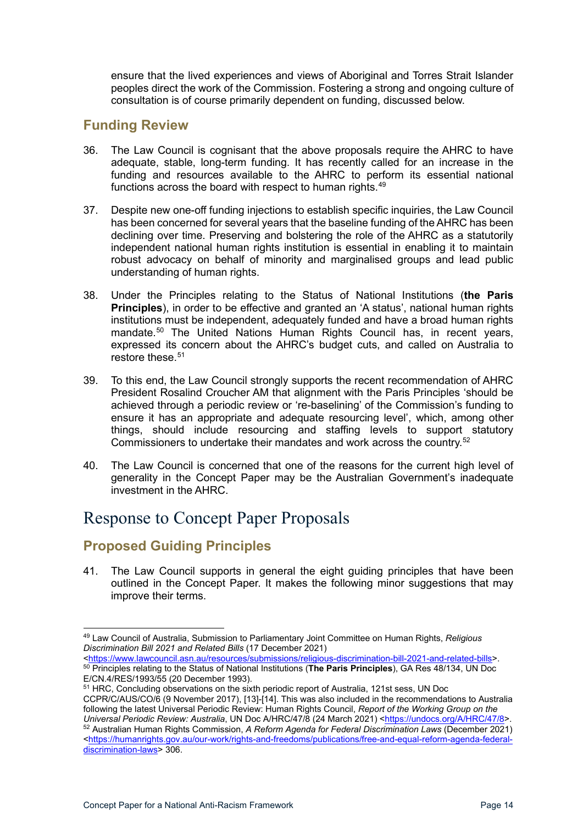ensure that the lived experiences and views of Aboriginal and Torres Strait Islander peoples direct the work of the Commission. Fostering a strong and ongoing culture of consultation is of course primarily dependent on funding, discussed below.

#### <span id="page-13-0"></span>**Funding Review**

- 36. The Law Council is cognisant that the above proposals require the AHRC to have adequate, stable, long-term funding. It has recently called for an increase in the funding and resources available to the AHRC to perform its essential national functions across the board with respect to human rights. $^{49}$  $^{49}$  $^{49}$
- 37. Despite new one-off funding injections to establish specific inquiries, the Law Council has been concerned for several years that the baseline funding of the AHRC has been declining over time. Preserving and bolstering the role of the AHRC as a statutorily independent national human rights institution is essential in enabling it to maintain robust advocacy on behalf of minority and marginalised groups and lead public understanding of human rights.
- 38. Under the Principles relating to the Status of National Institutions (**the Paris Principles**), in order to be effective and granted an 'A status', national human rights institutions must be independent, adequately funded and have a broad human rights mandate.<sup>[50](#page-13-4)</sup> The United Nations Human Rights Council has, in recent years, expressed its concern about the AHRC's budget cuts, and called on Australia to restore these.<sup>[51](#page-13-5)</sup>
- 39. To this end, the Law Council strongly supports the recent recommendation of AHRC President Rosalind Croucher AM that alignment with the Paris Principles 'should be achieved through a periodic review or 're-baselining' of the Commission's funding to ensure it has an appropriate and adequate resourcing level', which, among other things, should include resourcing and staffing levels to support statutory Commissioners to undertake their mandates and work across the country.[52](#page-13-6)
- 40. The Law Council is concerned that one of the reasons for the current high level of generality in the Concept Paper may be the Australian Government's inadequate investment in the AHRC.

## <span id="page-13-1"></span>Response to Concept Paper Proposals

### <span id="page-13-2"></span>**Proposed Guiding Principles**

41. The Law Council supports in general the eight guiding principles that have been outlined in the Concept Paper. It makes the following minor suggestions that may improve their terms.

CCPR/C/AUS/CO/6 (9 November 2017), [13]-[14]. This was also included in the recommendations to Australia following the latest Universal Periodic Review: Human Rights Council, *Report of the Working Group on the Universal Periodic Review: Australia*, UN Doc A/HRC/47/8 (24 March 2021) [<https://undocs.org/A/HRC/47/8>](https://undocs.org/A/HRC/47/8).

<span id="page-13-3"></span><sup>49</sup> Law Council of Australia, Submission to Parliamentary Joint Committee on Human Rights, *Religious Discrimination Bill 2021 and Related Bills* (17 December 2021)

<span id="page-13-4"></span>[<sup>&</sup>lt;https://www.lawcouncil.asn.au/resources/submissions/religious-discrimination-bill-2021-and-related-bills>](https://www.lawcouncil.asn.au/resources/submissions/religious-discrimination-bill-2021-and-related-bills). <sup>50</sup> Principles relating to the Status of National Institutions (**The Paris Principles**), GA Res 48/134, UN Doc E/CN.4/RES/1993/55 (20 December 1993).

<span id="page-13-5"></span><sup>51</sup> HRC, Concluding observations on the sixth periodic report of Australia, 121st sess, UN Doc

<span id="page-13-6"></span><sup>52</sup> Australian Human Rights Commission, *A Reform Agenda for Federal Discrimination Laws* (December 2021) [<https://humanrights.gov.au/our-work/rights-and-freedoms/publications/free-and-equal-reform-agenda-federal](https://humanrights.gov.au/our-work/rights-and-freedoms/publications/free-and-equal-reform-agenda-federal-discrimination-laws)[discrimination-laws>](https://humanrights.gov.au/our-work/rights-and-freedoms/publications/free-and-equal-reform-agenda-federal-discrimination-laws) 306.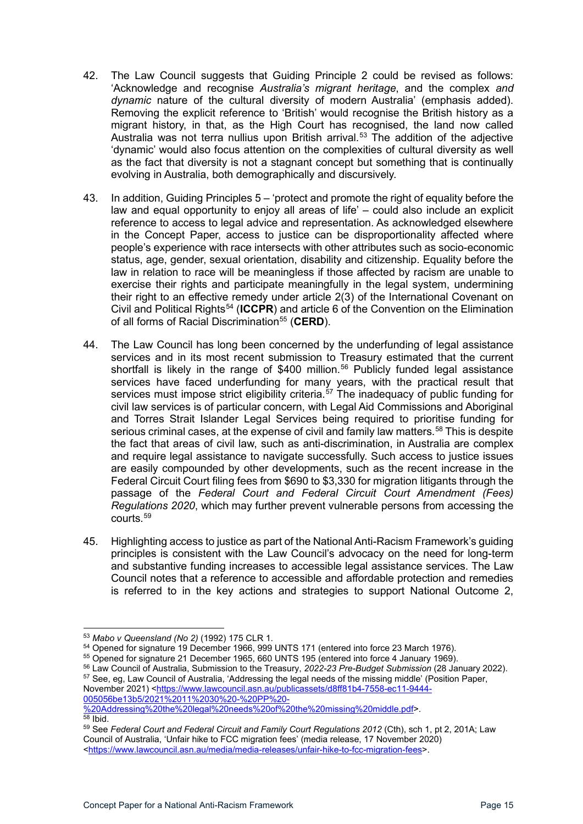- 42. The Law Council suggests that Guiding Principle 2 could be revised as follows: 'Acknowledge and recognise *Australia's migrant heritage*, and the complex *and dynamic* nature of the cultural diversity of modern Australia' (emphasis added). Removing the explicit reference to 'British' would recognise the British history as a migrant history, in that, as the High Court has recognised, the land now called Australia was not terra nullius upon British arrival.<sup>[53](#page-14-0)</sup> The addition of the adjective 'dynamic' would also focus attention on the complexities of cultural diversity as well as the fact that diversity is not a stagnant concept but something that is continually evolving in Australia, both demographically and discursively.
- 43. In addition, Guiding Principles 5 'protect and promote the right of equality before the law and equal opportunity to enjoy all areas of life' – could also include an explicit reference to access to legal advice and representation. As acknowledged elsewhere in the Concept Paper, access to justice can be disproportionality affected where people's experience with race intersects with other attributes such as socio-economic status, age, gender, sexual orientation, disability and citizenship. Equality before the law in relation to race will be meaningless if those affected by racism are unable to exercise their rights and participate meaningfully in the legal system, undermining their right to an effective remedy under article 2(3) of the International Covenant on Civil and Political Rights[54](#page-14-1) (**ICCPR**) and article 6 of the Convention on the Elimination of all forms of Racial Discrimination<sup>[55](#page-14-2)</sup> (CERD).
- 44. The Law Council has long been concerned by the underfunding of legal assistance services and in its most recent submission to Treasury estimated that the current shortfall is likely in the range of \$400 million. [56](#page-14-3) Publicly funded legal assistance services have faced underfunding for many years, with the practical result that services must impose strict eligibility criteria.<sup>[57](#page-14-4)</sup> The inadequacy of public funding for civil law services is of particular concern, with Legal Aid Commissions and Aboriginal and Torres Strait Islander Legal Services being required to prioritise funding for serious criminal cases, at the expense of civil and family law matters.<sup>[58](#page-14-5)</sup> This is despite the fact that areas of civil law, such as anti-discrimination, in Australia are complex and require legal assistance to navigate successfully. Such access to justice issues are easily compounded by other developments, such as the recent increase in the Federal Circuit Court filing fees from \$690 to \$3,330 for migration litigants through the passage of the *Federal Court and Federal Circuit Court Amendment (Fees) Regulations 2020*, which may further prevent vulnerable persons from accessing the courts.[59](#page-14-6)
- 45. Highlighting access to justice as part of the National Anti-Racism Framework's guiding principles is consistent with the Law Council's advocacy on the need for long-term and substantive funding increases to accessible legal assistance services. The Law Council notes that a reference to accessible and affordable protection and remedies is referred to in the key actions and strategies to support National Outcome 2,

<span id="page-14-4"></span><span id="page-14-3"></span><sup>56</sup> Law Council of Australia, Submission to the Treasury, *2022-23 Pre-Budget Submission* (28 January 2022). <sup>57</sup> See, eg, Law Council of Australia, 'Addressing the legal needs of the missing middle' (Position Paper, November 2021) [<https://www.lawcouncil.asn.au/publicassets/d8ff81b4-7558-ec11-9444-](https://www.lawcouncil.asn.au/publicassets/d8ff81b4-7558-ec11-9444-005056be13b5/2021%2011%2030%20-%20PP%20-%20Addressing%20the%20legal%20needs%20of%20the%20missing%20middle.pdf)

[005056be13b5/2021%2011%2030%20-%20PP%20-](https://www.lawcouncil.asn.au/publicassets/d8ff81b4-7558-ec11-9444-005056be13b5/2021%2011%2030%20-%20PP%20-%20Addressing%20the%20legal%20needs%20of%20the%20missing%20middle.pdf)

<span id="page-14-0"></span><sup>53</sup> *Mabo v Queensland (No 2)* (1992) 175 CLR 1.

<span id="page-14-1"></span><sup>54</sup> Opened for signature 19 December 1966, 999 UNTS 171 (entered into force 23 March 1976).

<span id="page-14-2"></span><sup>55</sup> Opened for signature 21 December 1965, 660 UNTS 195 (entered into force 4 January 1969).

<span id="page-14-5"></span>[<sup>%20</sup>Addressing%20the%20legal%20needs%20of%20the%20missing%20middle.pdf>](https://www.lawcouncil.asn.au/publicassets/d8ff81b4-7558-ec11-9444-005056be13b5/2021%2011%2030%20-%20PP%20-%20Addressing%20the%20legal%20needs%20of%20the%20missing%20middle.pdf).  $\frac{1}{58}$  Ibid.

<span id="page-14-6"></span><sup>59</sup> See *Federal Court and Federal Circuit and Family Court Regulations 2012* (Cth), sch 1, pt 2, 201A; Law Council of Australia, 'Unfair hike to FCC migration fees' (media release, 17 November 2020) [<https://www.lawcouncil.asn.au/media/media-releases/unfair-hike-to-fcc-migration-fees>](https://www.lawcouncil.asn.au/media/media-releases/unfair-hike-to-fcc-migration-fees).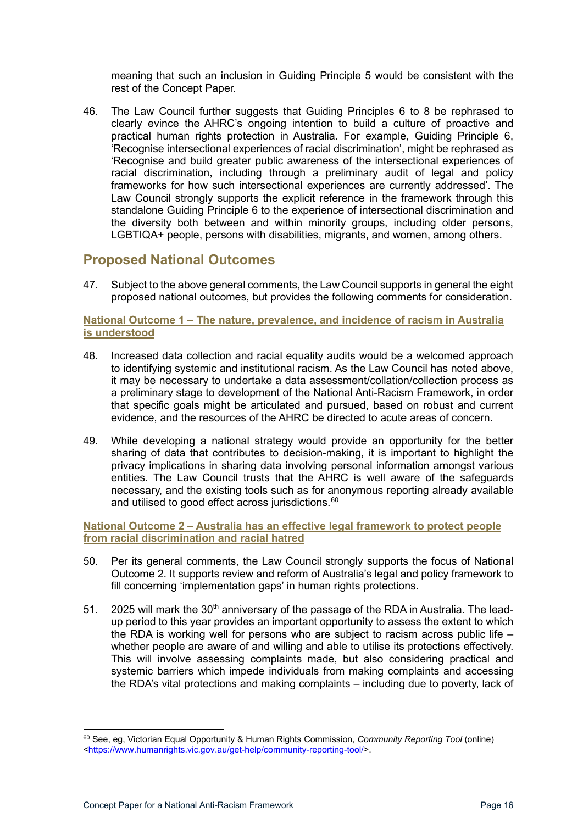meaning that such an inclusion in Guiding Principle 5 would be consistent with the rest of the Concept Paper.

46. The Law Council further suggests that Guiding Principles 6 to 8 be rephrased to clearly evince the AHRC's ongoing intention to build a culture of proactive and practical human rights protection in Australia. For example, Guiding Principle 6, 'Recognise intersectional experiences of racial discrimination', might be rephrased as 'Recognise and build greater public awareness of the intersectional experiences of racial discrimination, including through a preliminary audit of legal and policy frameworks for how such intersectional experiences are currently addressed'. The Law Council strongly supports the explicit reference in the framework through this standalone Guiding Principle 6 to the experience of intersectional discrimination and the diversity both between and within minority groups, including older persons, LGBTIQA+ people, persons with disabilities, migrants, and women, among others.

#### <span id="page-15-0"></span>**Proposed National Outcomes**

47. Subject to the above general comments, the Law Council supports in general the eight proposed national outcomes, but provides the following comments for consideration.

#### <span id="page-15-1"></span>**National Outcome 1 – The nature, prevalence, and incidence of racism in Australia is understood**

- 48. Increased data collection and racial equality audits would be a welcomed approach to identifying systemic and institutional racism. As the Law Council has noted above, it may be necessary to undertake a data assessment/collation/collection process as a preliminary stage to development of the National Anti-Racism Framework, in order that specific goals might be articulated and pursued, based on robust and current evidence, and the resources of the AHRC be directed to acute areas of concern.
- 49. While developing a national strategy would provide an opportunity for the better sharing of data that contributes to decision-making, it is important to highlight the privacy implications in sharing data involving personal information amongst various entities. The Law Council trusts that the AHRC is well aware of the safeguards necessary, and the existing tools such as for anonymous reporting already available and utilised to good effect across jurisdictions.<sup>[60](#page-15-3)</sup>

<span id="page-15-2"></span>**National Outcome 2 – Australia has an effective legal framework to protect people from racial discrimination and racial hatred**

- 50. Per its general comments, the Law Council strongly supports the focus of National Outcome 2. It supports review and reform of Australia's legal and policy framework to fill concerning 'implementation gaps' in human rights protections.
- 51. 2025 will mark the  $30<sup>th</sup>$  anniversary of the passage of the RDA in Australia. The leadup period to this year provides an important opportunity to assess the extent to which the RDA is working well for persons who are subject to racism across public life  $$ whether people are aware of and willing and able to utilise its protections effectively. This will involve assessing complaints made, but also considering practical and systemic barriers which impede individuals from making complaints and accessing the RDA's vital protections and making complaints – including due to poverty, lack of

<span id="page-15-3"></span><sup>60</sup> See, eg, Victorian Equal Opportunity & Human Rights Commission, *Community Reporting Tool* (online) [<https://www.humanrights.vic.gov.au/get-help/community-reporting-tool/>](https://www.humanrights.vic.gov.au/get-help/community-reporting-tool/).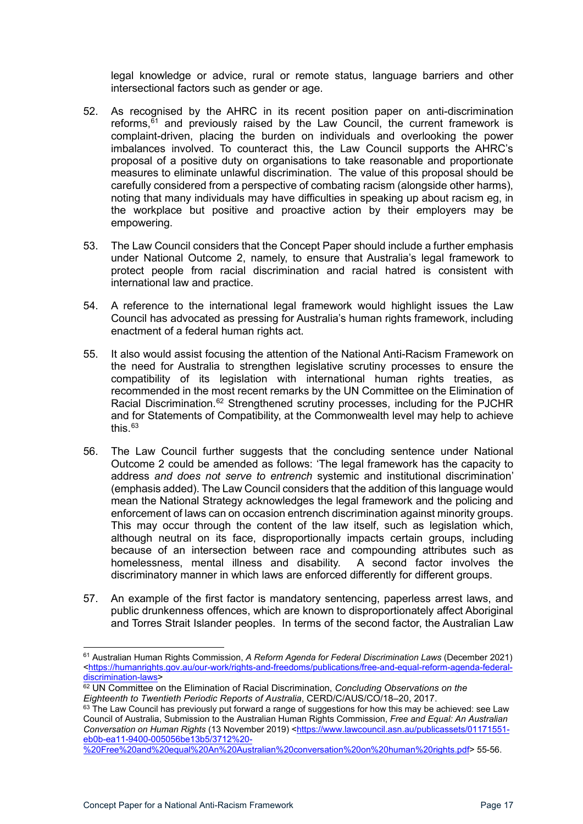legal knowledge or advice, rural or remote status, language barriers and other intersectional factors such as gender or age.

- 52. As recognised by the AHRC in its recent position paper on anti-discrimination reforms, $61$  and previously raised by the Law Council, the current framework is complaint-driven, placing the burden on individuals and overlooking the power imbalances involved. To counteract this, the Law Council supports the AHRC's proposal of a positive duty on organisations to take reasonable and proportionate measures to eliminate unlawful discrimination. The value of this proposal should be carefully considered from a perspective of combating racism (alongside other harms), noting that many individuals may have difficulties in speaking up about racism eg, in the workplace but positive and proactive action by their employers may be empowering.
- 53. The Law Council considers that the Concept Paper should include a further emphasis under National Outcome 2, namely, to ensure that Australia's legal framework to protect people from racial discrimination and racial hatred is consistent with international law and practice.
- 54. A reference to the international legal framework would highlight issues the Law Council has advocated as pressing for Australia's human rights framework, including enactment of a federal human rights act.
- 55. It also would assist focusing the attention of the National Anti-Racism Framework on the need for Australia to strengthen legislative scrutiny processes to ensure the compatibility of its legislation with international human rights treaties, as recommended in the most recent remarks by the UN Committee on the Elimination of Racial Discrimination.<sup>[62](#page-16-1)</sup> Strengthened scrutiny processes, including for the PJCHR and for Statements of Compatibility, at the Commonwealth level may help to achieve this. $63$
- 56. The Law Council further suggests that the concluding sentence under National Outcome 2 could be amended as follows: 'The legal framework has the capacity to address *and does not serve to entrench* systemic and institutional discrimination' (emphasis added). The Law Council considers that the addition of this language would mean the National Strategy acknowledges the legal framework and the policing and enforcement of laws can on occasion entrench discrimination against minority groups. This may occur through the content of the law itself, such as legislation which, although neutral on its face, disproportionally impacts certain groups, including because of an intersection between race and compounding attributes such as homelessness, mental illness and disability. A second factor involves the discriminatory manner in which laws are enforced differently for different groups.
- 57. An example of the first factor is mandatory sentencing, paperless arrest laws, and public drunkenness offences, which are known to disproportionately affect Aboriginal and Torres Strait Islander peoples. In terms of the second factor, the Australian Law

<span id="page-16-0"></span><sup>61</sup> Australian Human Rights Commission, *A Reform Agenda for Federal Discrimination Laws* (December 2021) [<https://humanrights.gov.au/our-work/rights-and-freedoms/publications/free-and-equal-reform-agenda-federal](https://humanrights.gov.au/our-work/rights-and-freedoms/publications/free-and-equal-reform-agenda-federal-discrimination-laws)[discrimination-laws>](https://humanrights.gov.au/our-work/rights-and-freedoms/publications/free-and-equal-reform-agenda-federal-discrimination-laws)

<span id="page-16-1"></span><sup>62</sup> UN Committee on the Elimination of Racial Discrimination, *Concluding Observations on the Eighteenth to Twentieth Periodic Reports of Australia*, CERD/C/AUS/CO/18–20, 2017.

<span id="page-16-2"></span> $63$  The Law Council has previously put forward a range of suggestions for how this may be achieved: see Law Council of Australia, Submission to the Australian Human Rights Commission, *Free and Equal: An Australian Conversation on Human Rights* (13 November 2019) [<https://www.lawcouncil.asn.au/publicassets/01171551](https://www.lawcouncil.asn.au/publicassets/01171551-eb0b-ea11-9400-005056be13b5/3712%20-%20Free%20and%20equal%20An%20Australian%20conversation%20on%20human%20rights.pdf) [eb0b-ea11-9400-005056be13b5/3712%20-](https://www.lawcouncil.asn.au/publicassets/01171551-eb0b-ea11-9400-005056be13b5/3712%20-%20Free%20and%20equal%20An%20Australian%20conversation%20on%20human%20rights.pdf)

[<sup>%20</sup>Free%20and%20equal%20An%20Australian%20conversation%20on%20human%20rights.pdf>](https://www.lawcouncil.asn.au/publicassets/01171551-eb0b-ea11-9400-005056be13b5/3712%20-%20Free%20and%20equal%20An%20Australian%20conversation%20on%20human%20rights.pdf) 55-56.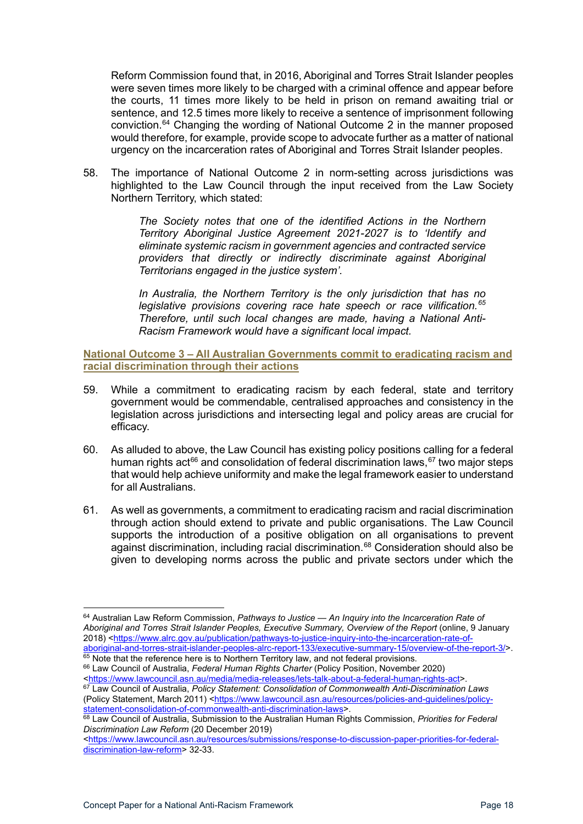Reform Commission found that, in 2016, Aboriginal and Torres Strait Islander peoples were seven times more likely to be charged with a criminal offence and appear before the courts, 11 times more likely to be held in prison on remand awaiting trial or sentence, and 12.5 times more likely to receive a sentence of imprisonment following conviction.[64](#page-17-1) Changing the wording of National Outcome 2 in the manner proposed would therefore, for example, provide scope to advocate further as a matter of national urgency on the incarceration rates of Aboriginal and Torres Strait Islander peoples.

58. The importance of National Outcome 2 in norm-setting across jurisdictions was highlighted to the Law Council through the input received from the Law Society Northern Territory, which stated:

> *The Society notes that one of the identified Actions in the Northern Territory Aboriginal Justice Agreement 2021-2027 is to 'Identify and eliminate systemic racism in government agencies and contracted service providers that directly or indirectly discriminate against Aboriginal Territorians engaged in the justice system'.*

> *In Australia, the Northern Territory is the only jurisdiction that has no legislative provisions covering race hate speech or race vilification.[65](#page-17-2) Therefore, until such local changes are made, having a National Anti-Racism Framework would have a significant local impact.*

<span id="page-17-0"></span>**National Outcome 3 – All Australian Governments commit to eradicating racism and racial discrimination through their actions**

- 59. While a commitment to eradicating racism by each federal, state and territory government would be commendable, centralised approaches and consistency in the legislation across jurisdictions and intersecting legal and policy areas are crucial for efficacy.
- 60. As alluded to above, the Law Council has existing policy positions calling for a federal human rights act<sup>[66](#page-17-3)</sup> and consolidation of federal discrimination laws,<sup>[67](#page-17-4)</sup> two major steps that would help achieve uniformity and make the legal framework easier to understand for all Australians.
- 61. As well as governments, a commitment to eradicating racism and racial discrimination through action should extend to private and public organisations. The Law Council supports the introduction of a positive obligation on all organisations to prevent against discrimination, including racial discrimination.<sup>[68](#page-17-5)</sup> Consideration should also be given to developing norms across the public and private sectors under which the

<span id="page-17-1"></span><sup>64</sup> Australian Law Reform Commission, *Pathways to Justice — An Inquiry into the Incarceration Rate of Aboriginal and Torres Strait Islander Peoples, Executive Summary, Overview of the Report* (online, 9 January 2018) [<https://www.alrc.gov.au/publication/pathways-to-justice-inquiry-into-the-incarceration-rate-of](https://www.alrc.gov.au/publication/pathways-to-justice-inquiry-into-the-incarceration-rate-of-aboriginal-and-torres-strait-islander-peoples-alrc-report-133/executive-summary-15/overview-of-the-report-3/)[aboriginal-and-torres-strait-islander-peoples-alrc-report-133/executive-summary-15/overview-of-the-report-3/>](https://www.alrc.gov.au/publication/pathways-to-justice-inquiry-into-the-incarceration-rate-of-aboriginal-and-torres-strait-islander-peoples-alrc-report-133/executive-summary-15/overview-of-the-report-3/).

<span id="page-17-2"></span> $65$  Note that the reference here is to Northern Territory law, and not federal provisions. <sup>66</sup> Law Council of Australia, *Federal Human Rights Charter* (Policy Position, November 2020)

<span id="page-17-4"></span><span id="page-17-3"></span>[<sup>&</sup>lt;https://www.lawcouncil.asn.au/media/media-releases/lets-talk-about-a-federal-human-rights-act>](https://www.lawcouncil.asn.au/media/media-releases/lets-talk-about-a-federal-human-rights-act). <sup>67</sup> Law Council of Australia, *Policy Statement: Consolidation of Commonwealth Anti-Discrimination Laws* (Policy Statement, March 2011) [<https://www.lawcouncil.asn.au/resources/policies-and-guidelines/policy](https://www.lawcouncil.asn.au/resources/policies-and-guidelines/policy-statement-consolidation-of-commonwealth-anti-discrimination-laws)[statement-consolidation-of-commonwealth-anti-discrimination-laws>](https://www.lawcouncil.asn.au/resources/policies-and-guidelines/policy-statement-consolidation-of-commonwealth-anti-discrimination-laws).

<span id="page-17-5"></span><sup>68</sup> Law Council of Australia, Submission to the Australian Human Rights Commission, *Priorities for Federal Discrimination Law Reform* (20 December 2019)

[<sup>&</sup>lt;https://www.lawcouncil.asn.au/resources/submissions/response-to-discussion-paper-priorities-for-federal](https://www.lawcouncil.asn.au/resources/submissions/response-to-discussion-paper-priorities-for-federal-discrimination-law-reform)[discrimination-law-reform>](https://www.lawcouncil.asn.au/resources/submissions/response-to-discussion-paper-priorities-for-federal-discrimination-law-reform) 32-33.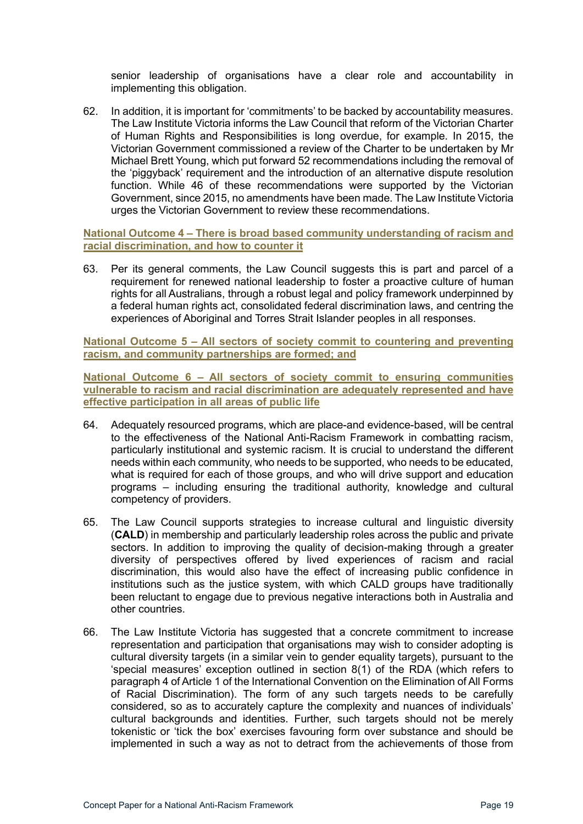senior leadership of organisations have a clear role and accountability in implementing this obligation.

62. In addition, it is important for 'commitments' to be backed by accountability measures. The Law Institute Victoria informs the Law Council that reform of the Victorian Charter of Human Rights and Responsibilities is long overdue, for example. In 2015, the Victorian Government commissioned a review of the Charter to be undertaken by Mr Michael Brett Young, which put forward 52 recommendations including the removal of the 'piggyback' requirement and the introduction of an alternative dispute resolution function. While 46 of these recommendations were supported by the Victorian Government, since 2015, no amendments have been made. The Law Institute Victoria urges the Victorian Government to review these recommendations.

<span id="page-18-0"></span>**National Outcome 4 – There is broad based community understanding of racism and racial discrimination, and how to counter it**

63. Per its general comments, the Law Council suggests this is part and parcel of a requirement for renewed national leadership to foster a proactive culture of human rights for all Australians, through a robust legal and policy framework underpinned by a federal human rights act, consolidated federal discrimination laws, and centring the experiences of Aboriginal and Torres Strait Islander peoples in all responses.

<span id="page-18-1"></span>**National Outcome 5 – All sectors of society commit to countering and preventing racism, and community partnerships are formed; and**

<span id="page-18-2"></span>**National Outcome 6 – All sectors of society commit to ensuring communities vulnerable to racism and racial discrimination are adequately represented and have effective participation in all areas of public life**

- 64. Adequately resourced programs, which are place-and evidence-based, will be central to the effectiveness of the National Anti-Racism Framework in combatting racism, particularly institutional and systemic racism. It is crucial to understand the different needs within each community, who needs to be supported, who needs to be educated, what is required for each of those groups, and who will drive support and education programs – including ensuring the traditional authority, knowledge and cultural competency of providers.
- 65. The Law Council supports strategies to increase cultural and linguistic diversity (**CALD**) in membership and particularly leadership roles across the public and private sectors. In addition to improving the quality of decision-making through a greater diversity of perspectives offered by lived experiences of racism and racial discrimination, this would also have the effect of increasing public confidence in institutions such as the justice system, with which CALD groups have traditionally been reluctant to engage due to previous negative interactions both in Australia and other countries.
- 66. The Law Institute Victoria has suggested that a concrete commitment to increase representation and participation that organisations may wish to consider adopting is cultural diversity targets (in a similar vein to gender equality targets), pursuant to the 'special measures' exception outlined in section 8(1) of the RDA (which refers to paragraph 4 of Article 1 of the International Convention on the Elimination of All Forms of Racial Discrimination). The form of any such targets needs to be carefully considered, so as to accurately capture the complexity and nuances of individuals' cultural backgrounds and identities. Further, such targets should not be merely tokenistic or 'tick the box' exercises favouring form over substance and should be implemented in such a way as not to detract from the achievements of those from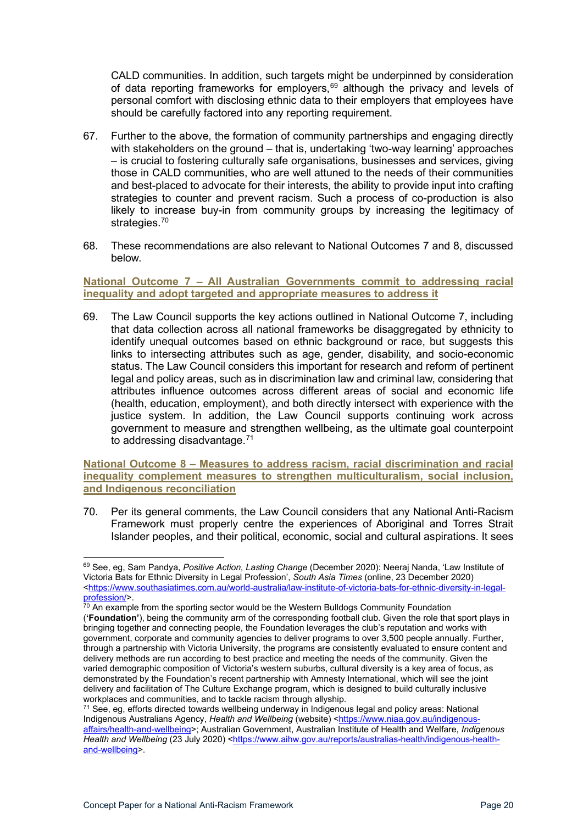CALD communities. In addition, such targets might be underpinned by consideration of data reporting frameworks for employers, $69$  although the privacy and levels of personal comfort with disclosing ethnic data to their employers that employees have should be carefully factored into any reporting requirement.

- 67. Further to the above, the formation of community partnerships and engaging directly with stakeholders on the ground – that is, undertaking 'two-way learning' approaches – is crucial to fostering culturally safe organisations, businesses and services, giving those in CALD communities, who are well attuned to the needs of their communities and best-placed to advocate for their interests, the ability to provide input into crafting strategies to counter and prevent racism. Such a process of co-production is also likely to increase buy-in from community groups by increasing the legitimacy of strategies.<sup>[70](#page-19-3)</sup>
- 68. These recommendations are also relevant to National Outcomes 7 and 8, discussed below.

<span id="page-19-0"></span>**National Outcome 7 – All Australian Governments commit to addressing racial inequality and adopt targeted and appropriate measures to address it**

69. The Law Council supports the key actions outlined in National Outcome 7, including that data collection across all national frameworks be disaggregated by ethnicity to identify unequal outcomes based on ethnic background or race, but suggests this links to intersecting attributes such as age, gender, disability, and socio-economic status. The Law Council considers this important for research and reform of pertinent legal and policy areas, such as in discrimination law and criminal law, considering that attributes influence outcomes across different areas of social and economic life (health, education, employment), and both directly intersect with experience with the justice system. In addition, the Law Council supports continuing work across government to measure and strengthen wellbeing, as the ultimate goal counterpoint to addressing disadvantage. [71](#page-19-4)

<span id="page-19-1"></span>**National Outcome 8 – Measures to address racism, racial discrimination and racial inequality complement measures to strengthen multiculturalism, social inclusion, and Indigenous reconciliation**

70. Per its general comments, the Law Council considers that any National Anti-Racism Framework must properly centre the experiences of Aboriginal and Torres Strait Islander peoples, and their political, economic, social and cultural aspirations. It sees

<span id="page-19-2"></span><sup>69</sup> See, eg, Sam Pandya, *Positive Action, Lasting Change* (December 2020): Neeraj Nanda, 'Law Institute of Victoria Bats for Ethnic Diversity in Legal Profession', *South Asia Times* (online, 23 December 2020) [<https://www.southasiatimes.com.au/world-australia/law-institute-of-victoria-bats-for-ethnic-diversity-in-legal](https://www.southasiatimes.com.au/world-australia/law-institute-of-victoria-bats-for-ethnic-diversity-in-legal-profession/)[profession/>](https://www.southasiatimes.com.au/world-australia/law-institute-of-victoria-bats-for-ethnic-diversity-in-legal-profession/).

<span id="page-19-3"></span> $^{70}$  An example from the sporting sector would be the Western Bulldogs Community Foundation (**'Foundation'**), being the community arm of the corresponding football club. Given the role that sport plays in bringing together and connecting people, the Foundation leverages the club's reputation and works with government, corporate and community agencies to deliver programs to over 3,500 people annually. Further, through a partnership with Victoria University, the programs are consistently evaluated to ensure content and delivery methods are run according to best practice and meeting the needs of the community. Given the varied demographic composition of Victoria's western suburbs, cultural diversity is a key area of focus, as demonstrated by the Foundation's recent partnership with Amnesty International, which will see the joint delivery and facilitation of The Culture Exchange program, which is designed to build culturally inclusive workplaces and communities, and to tackle racism through allyship.<br><sup>71</sup> See, eg, efforts directed towards wellbeing underway in Indigenous legal and policy areas: National

<span id="page-19-4"></span>Indigenous Australians Agency, *Health and Wellbeing* (website) [<https://www.niaa.gov.au/indigenous](https://www.niaa.gov.au/indigenous-affairs/health-and-wellbeing)[affairs/health-and-wellbeing>](https://www.niaa.gov.au/indigenous-affairs/health-and-wellbeing); Australian Government, Australian Institute of Health and Welfare, *Indigenous*  Health and Wellbeing (23 July 2020) [<https://www.aihw.gov.au/reports/australias-health/indigenous-health](https://www.aihw.gov.au/reports/australias-health/indigenous-health-and-wellbeing)[and-wellbeing>](https://www.aihw.gov.au/reports/australias-health/indigenous-health-and-wellbeing).